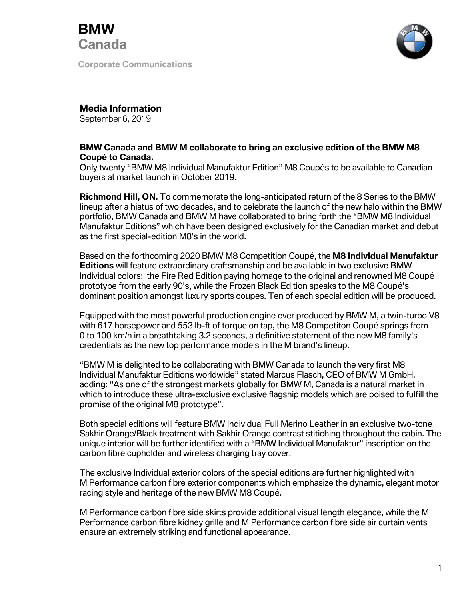

**Corporate Communications**



## **Media Information**

September 6, 2019

## **BMW Canada and BMW M collaborate to bring an exclusive edition of the BMW M8 Coupé to Canada.**

Only twenty "BMW M8 Individual Manufaktur Edition" M8 Coupés to be available to Canadian buyers at market launch in October 2019.

**Richmond Hill, ON.** To commemorate the long-anticipated return of the 8 Series to the BMW lineup after a hiatus of two decades, and to celebrate the launch of the new halo within the BMW portfolio, BMW Canada and BMW M have collaborated to bring forth the "BMW M8 Individual Manufaktur Editions" which have been designed exclusively for the Canadian market and debut as the first special-edition M8's in the world.

Based on the forthcoming 2020 BMW M8 Competition Coupé, the **M8 Individual Manufaktur Editions** will feature extraordinary craftsmanship and be available in two exclusive BMW Individual colors: the Fire Red Edition paying homage to the original and renowned M8 Coupé prototype from the early 90's, while the Frozen Black Edition speaks to the M8 Coupé's dominant position amongst luxury sports coupes. Ten of each special edition will be produced.

Equipped with the most powerful production engine ever produced by BMW M, a twin-turbo V8 with 617 horsepower and 553 lb-ft of torque on tap, the M8 Competiton Coupé springs from 0 to 100 km/h in a breathtaking 3.2 seconds, a definitive statement of the new M8 family's credentials as the new top performance models in the M brand's lineup.

"BMW M is delighted to be collaborating with BMW Canada to launch the very first M8 Individual Manufaktur Editions worldwide" stated Marcus Flasch, CEO of BMW M GmbH, adding: "As one of the strongest markets globally for BMW M, Canada is a natural market in which to introduce these ultra-exclusive exclusive flagship models which are poised to fulfill the promise of the original M8 prototype".

Both special editions will feature BMW Individual Full Merino Leather in an exclusive two-tone Sakhir Orange/Black treatment with Sakhir Orange contrast stitiching throughout the cabin. The unique interior will be further identified with a "BMW Individual Manufaktur" inscription on the carbon fibre cupholder and wireless charging tray cover.

The exclusive Individual exterior colors of the special editions are further highlighted with M Performance carbon fibre exterior components which emphasize the dynamic, elegant motor racing style and heritage of the new BMW M8 Coupé.

M Performance carbon fibre side skirts provide additional visual length elegance, while the M Performance carbon fibre kidney grille and M Performance carbon fibre side air curtain vents ensure an extremely striking and functional appearance.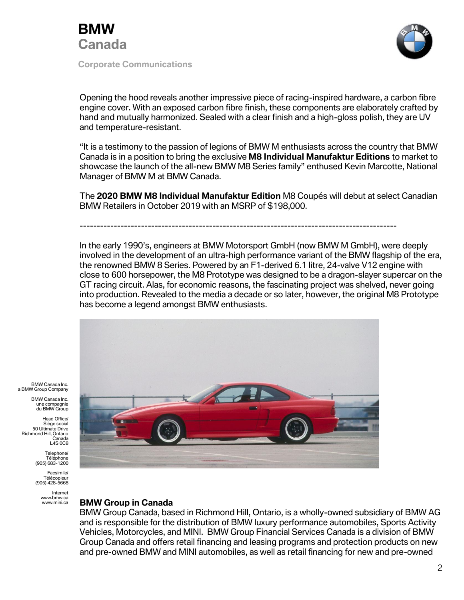

**Corporate Communications**



Opening the hood reveals another impressive piece of racing-inspired hardware, a carbon fibre engine cover. With an exposed carbon fibre finish, these components are elaborately crafted by hand and mutually harmonized. Sealed with a clear finish and a high-gloss polish, they are UV and temperature-resistant.

"It is a testimony to the passion of legions of BMW M enthusiasts across the country that BMW Canada is in a position to bring the exclusive **M8 Individual Manufaktur Editions** to market to showcase the launch of the all-new BMW M8 Series family" enthused Kevin Marcotte, National Manager of BMW M at BMW Canada.

The **2020 BMW M8 Individual Manufaktur Edition** M8 Coupés will debut at select Canadian BMW Retailers in October 2019 with an MSRP of \$198,000.

---------------------------------------------------------------------------------------------

In the early 1990's, engineers at BMW Motorsport GmbH (now BMW M GmbH), were deeply involved in the development of an ultra-high performance variant of the BMW flagship of the era, the renowned BMW 8 Series. Powered by an F1-derived 6.1 litre, 24-valve V12 engine with close to 600 horsepower, the M8 Prototype was designed to be a dragon-slayer supercar on the GT racing circuit. Alas, for economic reasons, the fascinating project was shelved, never going into production. Revealed to the media a decade or so later, however, the original M8 Prototype has become a legend amongst BMW enthusiasts.



BMW Canada Inc. a BMW Group Company

> BMW Canada Inc. une compagnie du BMW Group

Head Office/ Siège social 50 Ultimate Drive Richmond Hill, Ontario **Canada** L4S 0C8

> Telephone/ Téléphone (905) 683-1200

Facsimile/ Télécopieur (905) 428-5668

> Internet www.bmw.ca www.mini.ca

## **BMW Group in Canada**

BMW Group Canada, based in Richmond Hill, Ontario, is a wholly-owned subsidiary of BMW AG and is responsible for the distribution of BMW luxury performance automobiles, Sports Activity Vehicles, Motorcycles, and MINI. BMW Group Financial Services Canada is a division of BMW Group Canada and offers retail financing and leasing programs and protection products on new and pre-owned BMW and MINI automobiles, as well as retail financing for new and pre-owned